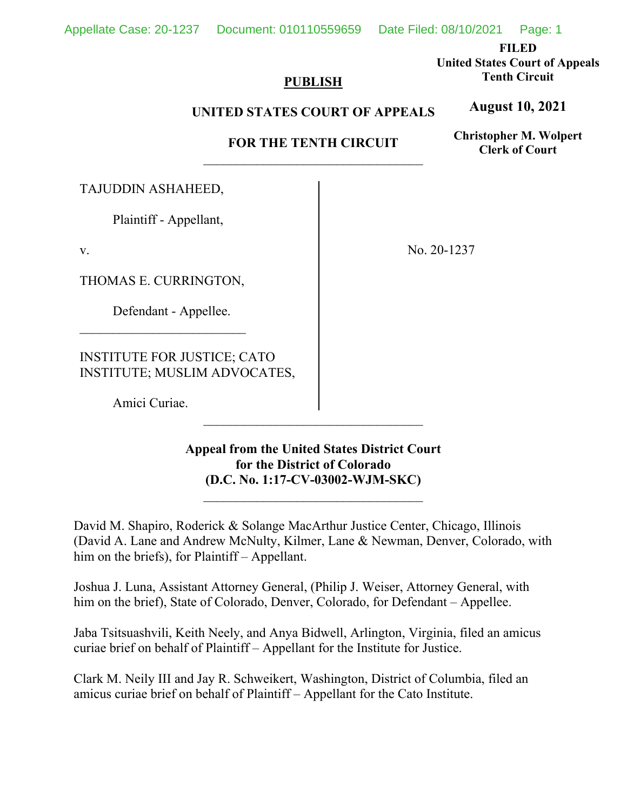**FILED** 

**United States Court of Appeals Tenth Circuit** 

**August 10, 2021**

## **PUBLISH**

## **UNITED STATES COURT OF APPEALS**

# **FOR THE TENTH CIRCUIT**

**Christopher M. Wolpert Clerk of Court**

TAJUDDIN ASHAHEED,

Plaintiff - Appellant,

v.

THOMAS E. CURRINGTON,

Defendant - Appellee.

INSTITUTE FOR JUSTICE; CATO INSTITUTE; MUSLIM ADVOCATES,

Amici Curiae.

No. 20-1237

**Appeal from the United States District Court for the District of Colorado (D.C. No. 1:17-CV-03002-WJM-SKC)**

 $\mathcal{L}_\text{max}$ 

David M. Shapiro, Roderick & Solange MacArthur Justice Center, Chicago, Illinois (David A. Lane and Andrew McNulty, Kilmer, Lane & Newman, Denver, Colorado, with him on the briefs), for Plaintiff – Appellant.

Joshua J. Luna, Assistant Attorney General, (Philip J. Weiser, Attorney General, with him on the brief), State of Colorado, Denver, Colorado, for Defendant – Appellee.

Jaba Tsitsuashvili, Keith Neely, and Anya Bidwell, Arlington, Virginia, filed an amicus curiae brief on behalf of Plaintiff – Appellant for the Institute for Justice.

Clark M. Neily III and Jay R. Schweikert, Washington, District of Columbia, filed an amicus curiae brief on behalf of Plaintiff – Appellant for the Cato Institute.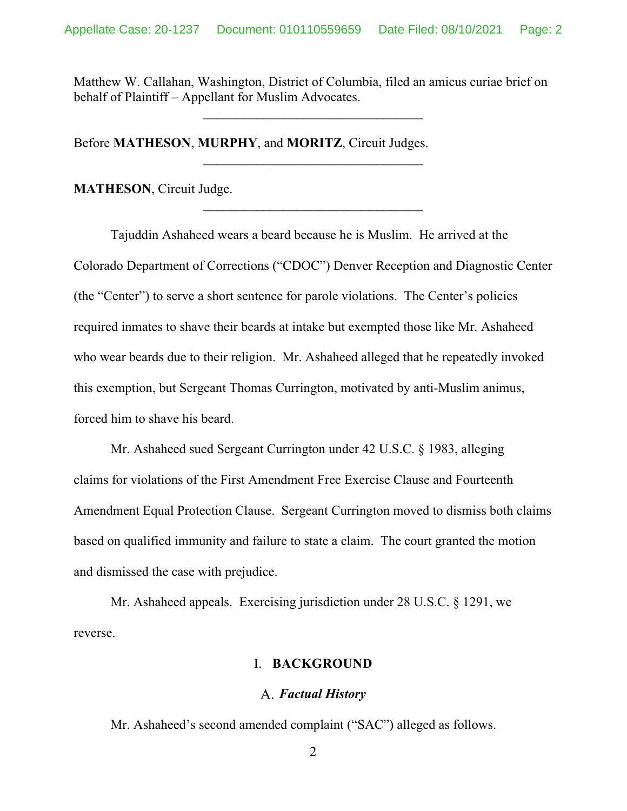Matthew W. Callahan, Washington, District of Columbia, filed an amicus curiae brief on behalf of Plaintiff – Appellant for Muslim Advocates.

Before **MATHESON**, **MURPHY**, and **MORITZ**, Circuit Judges.

**MATHESON**, Circuit Judge.

Tajuddin Ashaheed wears a beard because he is Muslim. He arrived at the Colorado Department of Corrections ("CDOC") Denver Reception and Diagnostic Center (the "Center") to serve a short sentence for parole violations. The Center's policies required inmates to shave their beards at intake but exempted those like Mr. Ashaheed who wear beards due to their religion. Mr. Ashaheed alleged that he repeatedly invoked this exemption, but Sergeant Thomas Currington, motivated by anti-Muslim animus, forced him to shave his beard.

Mr. Ashaheed sued Sergeant Currington under 42 U.S.C. § 1983, alleging claims for violations of the First Amendment Free Exercise Clause and Fourteenth Amendment Equal Protection Clause. Sergeant Currington moved to dismiss both claims based on qualified immunity and failure to state a claim. The court granted the motion and dismissed the case with prejudice.

Mr. Ashaheed appeals. Exercising jurisdiction under 28 U.S.C. § 1291, we reverse.

#### I. **BACKGROUND**

#### *Factual History*

Mr. Ashaheed's second amended complaint ("SAC") alleged as follows.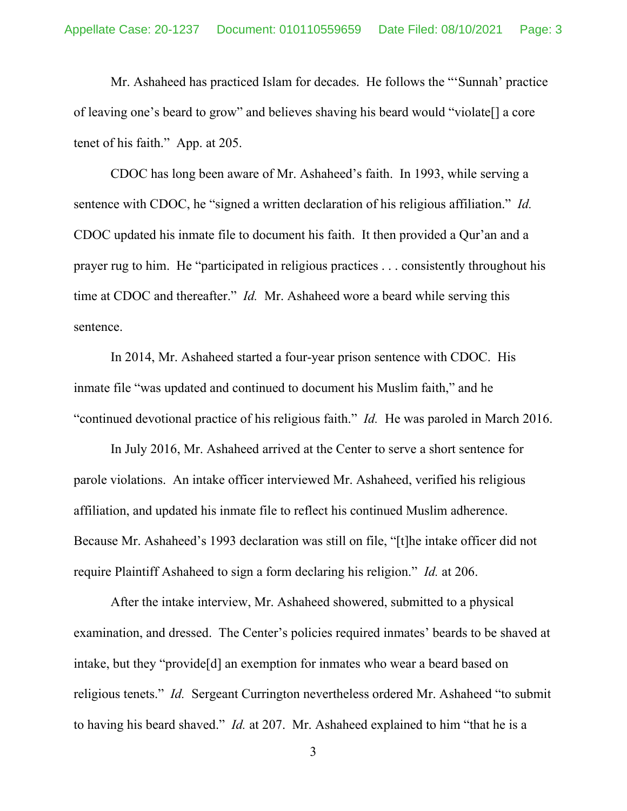Mr. Ashaheed has practiced Islam for decades. He follows the "'Sunnah' practice of leaving one's beard to grow" and believes shaving his beard would "violate[] a core tenet of his faith." App. at 205.

CDOC has long been aware of Mr. Ashaheed's faith. In 1993, while serving a sentence with CDOC, he "signed a written declaration of his religious affiliation." *Id.*  CDOC updated his inmate file to document his faith. It then provided a Qur'an and a prayer rug to him. He "participated in religious practices . . . consistently throughout his time at CDOC and thereafter." *Id.* Mr. Ashaheed wore a beard while serving this sentence.

In 2014, Mr. Ashaheed started a four-year prison sentence with CDOC. His inmate file "was updated and continued to document his Muslim faith," and he "continued devotional practice of his religious faith." *Id.* He was paroled in March 2016.

In July 2016, Mr. Ashaheed arrived at the Center to serve a short sentence for parole violations. An intake officer interviewed Mr. Ashaheed, verified his religious affiliation, and updated his inmate file to reflect his continued Muslim adherence. Because Mr. Ashaheed's 1993 declaration was still on file, "[t]he intake officer did not require Plaintiff Ashaheed to sign a form declaring his religion." *Id.* at 206.

 After the intake interview, Mr. Ashaheed showered, submitted to a physical examination, and dressed. The Center's policies required inmates' beards to be shaved at intake, but they "provide[d] an exemption for inmates who wear a beard based on religious tenets." *Id.* Sergeant Currington nevertheless ordered Mr. Ashaheed "to submit to having his beard shaved." *Id.* at 207. Mr. Ashaheed explained to him "that he is a

3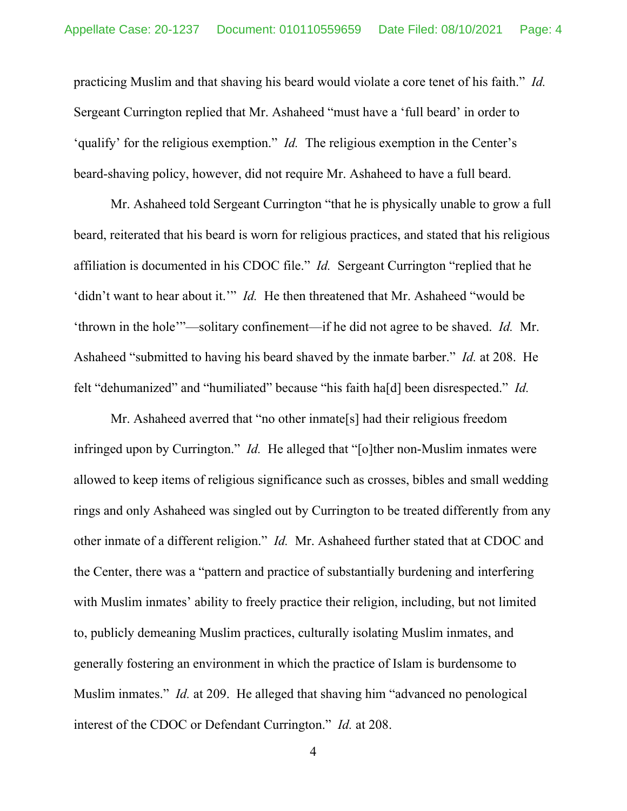practicing Muslim and that shaving his beard would violate a core tenet of his faith." *Id.*  Sergeant Currington replied that Mr. Ashaheed "must have a 'full beard' in order to 'qualify' for the religious exemption." *Id.* The religious exemption in the Center's beard-shaving policy, however, did not require Mr. Ashaheed to have a full beard.

Mr. Ashaheed told Sergeant Currington "that he is physically unable to grow a full beard, reiterated that his beard is worn for religious practices, and stated that his religious affiliation is documented in his CDOC file." *Id.* Sergeant Currington "replied that he 'didn't want to hear about it.'" *Id.* He then threatened that Mr. Ashaheed "would be 'thrown in the hole'"—solitary confinement—if he did not agree to be shaved. *Id.* Mr. Ashaheed "submitted to having his beard shaved by the inmate barber." *Id.* at 208.He felt "dehumanized" and "humiliated" because "his faith ha[d] been disrespected." *Id.*

Mr. Ashaheed averred that "no other inmate[s] had their religious freedom infringed upon by Currington." *Id.* He alleged that "[o]ther non-Muslim inmates were allowed to keep items of religious significance such as crosses, bibles and small wedding rings and only Ashaheed was singled out by Currington to be treated differently from any other inmate of a different religion." *Id.* Mr. Ashaheed further stated that at CDOC and the Center, there was a "pattern and practice of substantially burdening and interfering with Muslim inmates' ability to freely practice their religion, including, but not limited to, publicly demeaning Muslim practices, culturally isolating Muslim inmates, and generally fostering an environment in which the practice of Islam is burdensome to Muslim inmates." *Id.* at 209. He alleged that shaving him "advanced no penological interest of the CDOC or Defendant Currington." *Id.* at 208.

4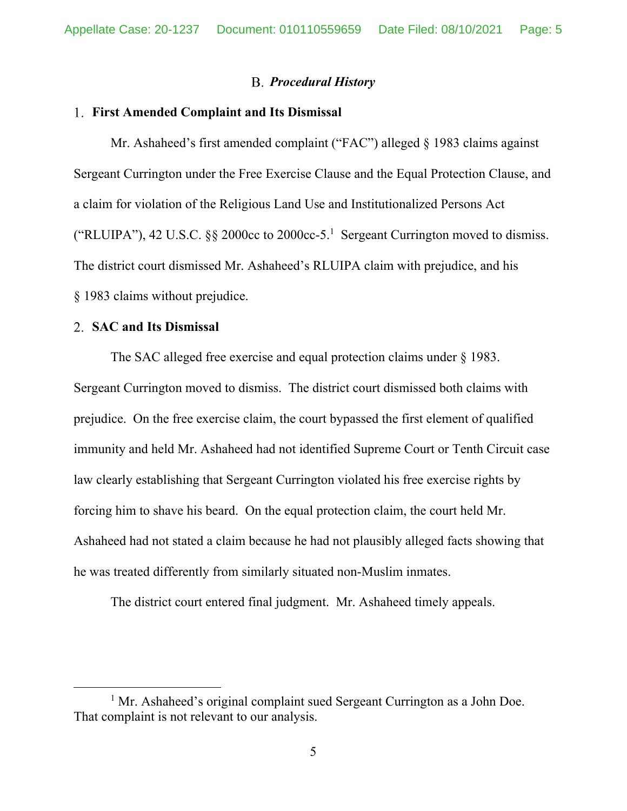#### *Procedural History*

#### **First Amended Complaint and Its Dismissal**

Mr. Ashaheed's first amended complaint ("FAC") alleged § 1983 claims against Sergeant Currington under the Free Exercise Clause and the Equal Protection Clause, and a claim for violation of the Religious Land Use and Institutionalized Persons Act ("RLUIPA"), 42 U.S.C. §§ 2000cc to 2000cc-5.<sup>1</sup> Sergeant Currington moved to dismiss. The district court dismissed Mr. Ashaheed's RLUIPA claim with prejudice, and his § 1983 claims without prejudice.

#### **SAC and Its Dismissal**

The SAC alleged free exercise and equal protection claims under § 1983. Sergeant Currington moved to dismiss. The district court dismissed both claims with prejudice. On the free exercise claim, the court bypassed the first element of qualified immunity and held Mr. Ashaheed had not identified Supreme Court or Tenth Circuit case law clearly establishing that Sergeant Currington violated his free exercise rights by forcing him to shave his beard. On the equal protection claim, the court held Mr. Ashaheed had not stated a claim because he had not plausibly alleged facts showing that he was treated differently from similarly situated non-Muslim inmates.

The district court entered final judgment. Mr. Ashaheed timely appeals.

<sup>&</sup>lt;sup>1</sup> Mr. Ashaheed's original complaint sued Sergeant Currington as a John Doe. That complaint is not relevant to our analysis.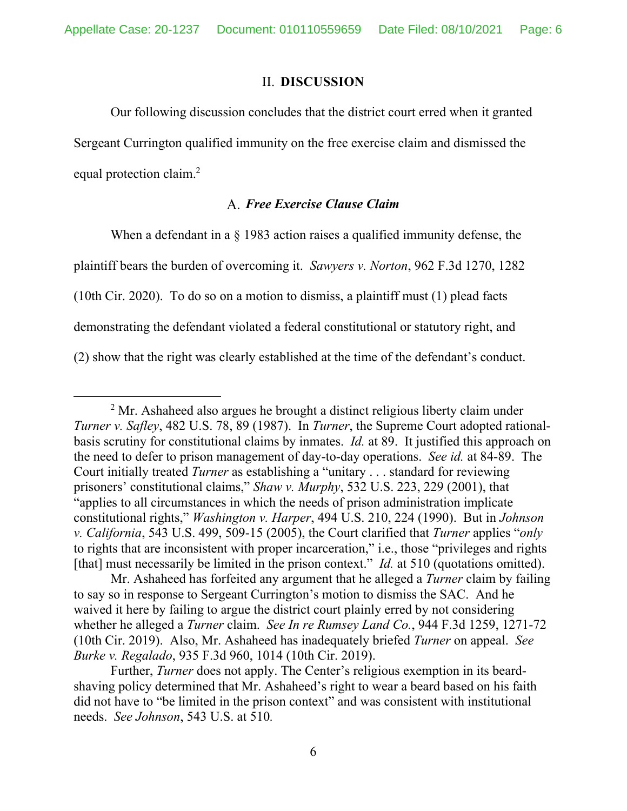#### II. **DISCUSSION**

Our following discussion concludes that the district court erred when it granted Sergeant Currington qualified immunity on the free exercise claim and dismissed the equal protection claim.<sup>2</sup>

## *Free Exercise Clause Claim*

When a defendant in a  $\S$  1983 action raises a qualified immunity defense, the plaintiff bears the burden of overcoming it. *Sawyers v. Norton*, 962 F.3d 1270, 1282 (10th Cir. 2020). To do so on a motion to dismiss, a plaintiff must (1) plead facts demonstrating the defendant violated a federal constitutional or statutory right, and (2) show that the right was clearly established at the time of the defendant's conduct.

 $2<sup>2</sup>$  Mr. Ashaheed also argues he brought a distinct religious liberty claim under *Turner v. Safley*, 482 U.S. 78, 89 (1987). In *Turner*, the Supreme Court adopted rationalbasis scrutiny for constitutional claims by inmates. *Id.* at 89. It justified this approach on the need to defer to prison management of day-to-day operations. *See id.* at 84-89. The Court initially treated *Turner* as establishing a "unitary . . . standard for reviewing prisoners' constitutional claims," *Shaw v. Murphy*, 532 U.S. 223, 229 (2001), that "applies to all circumstances in which the needs of prison administration implicate constitutional rights," *Washington v. Harper*, 494 U.S. 210, 224 (1990). But in *Johnson v. California*, 543 U.S. 499, 509-15 (2005), the Court clarified that *Turner* applies "*only*  to rights that are inconsistent with proper incarceration," i.e., those "privileges and rights [that] must necessarily be limited in the prison context." *Id.* at 510 (quotations omitted).

Mr. Ashaheed has forfeited any argument that he alleged a *Turner* claim by failing to say so in response to Sergeant Currington's motion to dismiss the SAC. And he waived it here by failing to argue the district court plainly erred by not considering whether he alleged a *Turner* claim. *See In re Rumsey Land Co.*, 944 F.3d 1259, 1271-72 (10th Cir. 2019). Also, Mr. Ashaheed has inadequately briefed *Turner* on appeal. *See Burke v. Regalado*, 935 F.3d 960, 1014 (10th Cir. 2019).

Further, *Turner* does not apply. The Center's religious exemption in its beardshaving policy determined that Mr. Ashaheed's right to wear a beard based on his faith did not have to "be limited in the prison context" and was consistent with institutional needs. *See Johnson*, 543 U.S. at 510*.*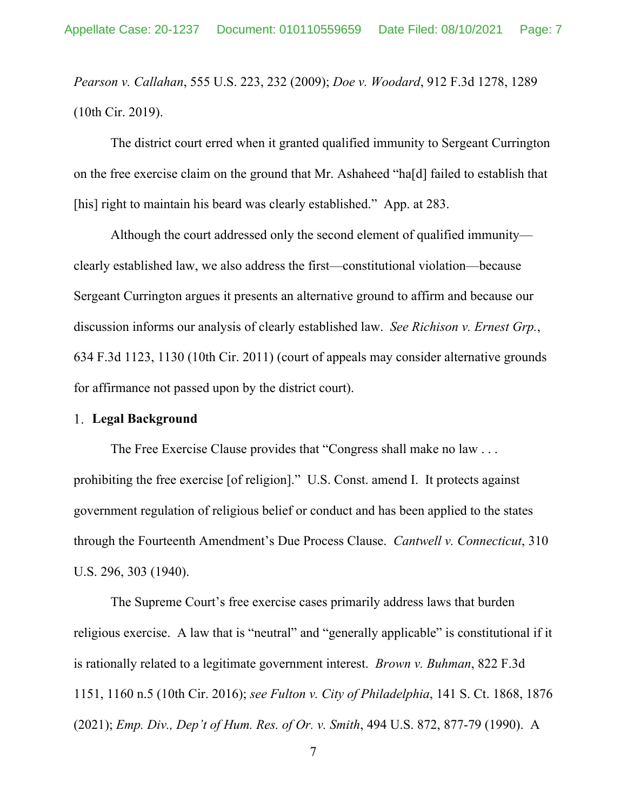*Pearson v. Callahan*, 555 U.S. 223, 232 (2009); *Doe v. Woodard*, 912 F.3d 1278, 1289 (10th Cir. 2019).

The district court erred when it granted qualified immunity to Sergeant Currington on the free exercise claim on the ground that Mr. Ashaheed "ha[d] failed to establish that [his] right to maintain his beard was clearly established." App. at 283.

Although the court addressed only the second element of qualified immunity clearly established law, we also address the first—constitutional violation—because Sergeant Currington argues it presents an alternative ground to affirm and because our discussion informs our analysis of clearly established law. *See Richison v. Ernest Grp.*, 634 F.3d 1123, 1130 (10th Cir. 2011) (court of appeals may consider alternative grounds for affirmance not passed upon by the district court).

#### **Legal Background**

The Free Exercise Clause provides that "Congress shall make no law . . . prohibiting the free exercise [of religion]." U.S. Const. amend I. It protects against government regulation of religious belief or conduct and has been applied to the states through the Fourteenth Amendment's Due Process Clause. *Cantwell v. Connecticut*, 310 U.S. 296, 303 (1940).

The Supreme Court's free exercise cases primarily address laws that burden religious exercise. A law that is "neutral" and "generally applicable" is constitutional if it is rationally related to a legitimate government interest. *Brown v. Buhman*, 822 F.3d 1151, 1160 n.5 (10th Cir. 2016); *see Fulton v. City of Philadelphia*, 141 S. Ct. 1868, 1876 (2021); *Emp. Div., Dep't of Hum. Res. of Or. v. Smith*, 494 U.S. 872, 877-79 (1990). A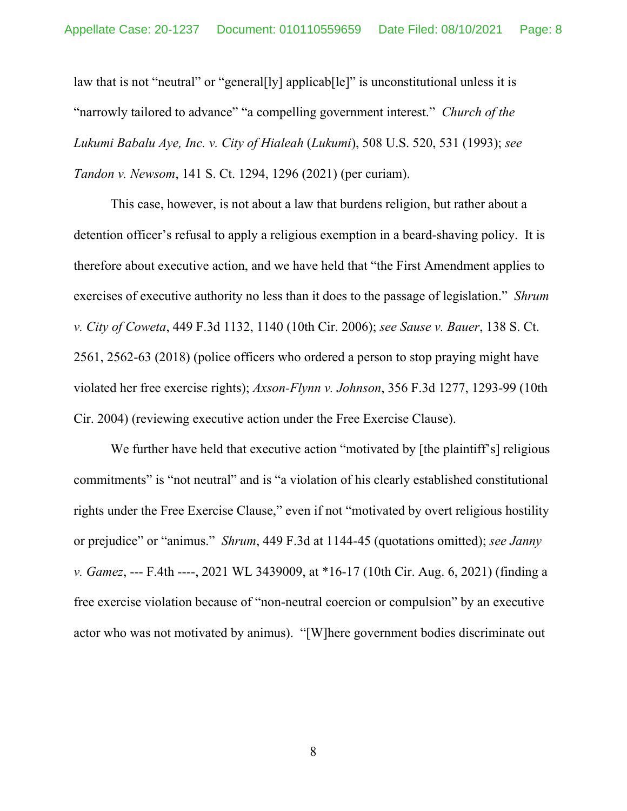law that is not "neutral" or "general<sup>[1</sup>y] applicab<sup>[1</sup>]" is unconstitutional unless it is "narrowly tailored to advance" "a compelling government interest." *Church of the Lukumi Babalu Aye, Inc. v. City of Hialeah* (*Lukumi*), 508 U.S. 520, 531 (1993); *see Tandon v. Newsom*, 141 S. Ct. 1294, 1296 (2021) (per curiam).

 This case, however, is not about a law that burdens religion, but rather about a detention officer's refusal to apply a religious exemption in a beard-shaving policy. It is therefore about executive action, and we have held that "the First Amendment applies to exercises of executive authority no less than it does to the passage of legislation." *Shrum v. City of Coweta*, 449 F.3d 1132, 1140 (10th Cir. 2006); *see Sause v. Bauer*, 138 S. Ct. 2561, 2562-63 (2018) (police officers who ordered a person to stop praying might have violated her free exercise rights); *Axson-Flynn v. Johnson*, 356 F.3d 1277, 1293-99 (10th Cir. 2004) (reviewing executive action under the Free Exercise Clause).

We further have held that executive action "motivated by [the plaintiff's] religious commitments" is "not neutral" and is "a violation of his clearly established constitutional rights under the Free Exercise Clause," even if not "motivated by overt religious hostility or prejudice" or "animus." *Shrum*, 449 F.3d at 1144-45 (quotations omitted); *see Janny v. Gamez*, --- F.4th ----, 2021 WL 3439009, at \*16-17 (10th Cir. Aug. 6, 2021) (finding a free exercise violation because of "non-neutral coercion or compulsion" by an executive actor who was not motivated by animus). "[W]here government bodies discriminate out

8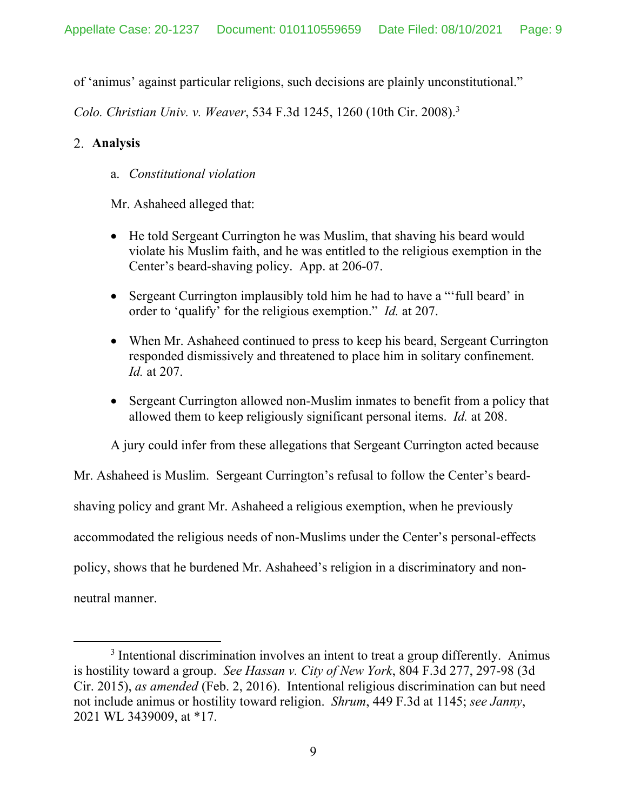of 'animus' against particular religions, such decisions are plainly unconstitutional."

*Colo. Christian Univ. v. Weaver*, 534 F.3d 1245, 1260 (10th Cir. 2008).3

## **Analysis**

a. *Constitutional violation* 

Mr. Ashaheed alleged that:

- He told Sergeant Currington he was Muslim, that shaving his beard would violate his Muslim faith, and he was entitled to the religious exemption in the Center's beard-shaving policy. App. at 206-07.
- Sergeant Currington implausibly told him he had to have a "'full beard' in order to 'qualify' for the religious exemption." *Id.* at 207.
- When Mr. Ashaheed continued to press to keep his beard, Sergeant Currington responded dismissively and threatened to place him in solitary confinement. *Id.* at 207.
- Sergeant Currington allowed non-Muslim inmates to benefit from a policy that allowed them to keep religiously significant personal items. *Id.* at 208.

A jury could infer from these allegations that Sergeant Currington acted because

Mr. Ashaheed is Muslim. Sergeant Currington's refusal to follow the Center's beardshaving policy and grant Mr. Ashaheed a religious exemption, when he previously accommodated the religious needs of non-Muslims under the Center's personal-effects policy, shows that he burdened Mr. Ashaheed's religion in a discriminatory and nonneutral manner.

<sup>&</sup>lt;sup>3</sup> Intentional discrimination involves an intent to treat a group differently. Animus is hostility toward a group. *See Hassan v. City of New York*, 804 F.3d 277, 297-98 (3d Cir. 2015), *as amended* (Feb. 2, 2016). Intentional religious discrimination can but need not include animus or hostility toward religion. *Shrum*, 449 F.3d at 1145; *see Janny*, 2021 WL 3439009, at \*17.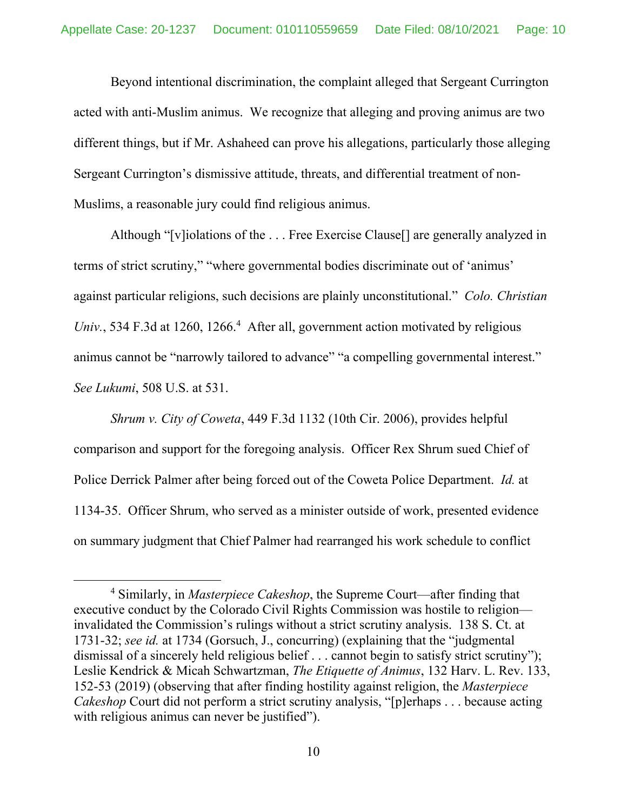Beyond intentional discrimination, the complaint alleged that Sergeant Currington acted with anti-Muslim animus. We recognize that alleging and proving animus are two different things, but if Mr. Ashaheed can prove his allegations, particularly those alleging Sergeant Currington's dismissive attitude, threats, and differential treatment of non-Muslims, a reasonable jury could find religious animus.

Although "[v]iolations of the . . . Free Exercise Clause[] are generally analyzed in terms of strict scrutiny," "where governmental bodies discriminate out of 'animus' against particular religions, such decisions are plainly unconstitutional." *Colo. Christian*  Univ., 534 F.3d at 1260, 1266.<sup>4</sup> After all, government action motivated by religious animus cannot be "narrowly tailored to advance" "a compelling governmental interest." *See Lukumi*, 508 U.S. at 531.

*Shrum v. City of Coweta*, 449 F.3d 1132 (10th Cir. 2006), provides helpful comparison and support for the foregoing analysis. Officer Rex Shrum sued Chief of Police Derrick Palmer after being forced out of the Coweta Police Department. *Id.* at 1134-35. Officer Shrum, who served as a minister outside of work, presented evidence on summary judgment that Chief Palmer had rearranged his work schedule to conflict

<sup>4</sup> Similarly, in *Masterpiece Cakeshop*, the Supreme Court—after finding that executive conduct by the Colorado Civil Rights Commission was hostile to religion invalidated the Commission's rulings without a strict scrutiny analysis. 138 S. Ct. at 1731-32; *see id.* at 1734 (Gorsuch, J., concurring) (explaining that the "judgmental dismissal of a sincerely held religious belief . . . cannot begin to satisfy strict scrutiny"); Leslie Kendrick & Micah Schwartzman, *The Etiquette of Animus*, 132 Harv. L. Rev. 133, 152-53 (2019) (observing that after finding hostility against religion, the *Masterpiece Cakeshop* Court did not perform a strict scrutiny analysis, "[p]erhaps . . . because acting with religious animus can never be justified").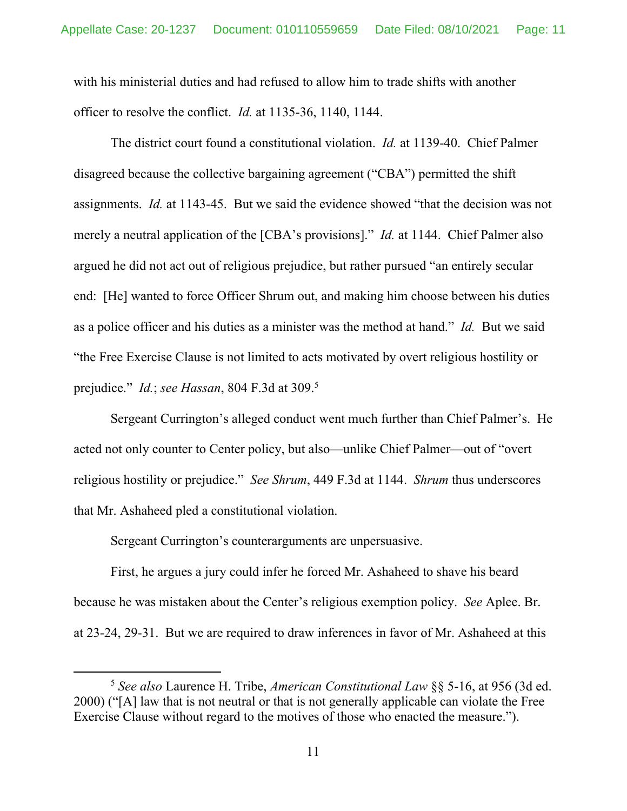with his ministerial duties and had refused to allow him to trade shifts with another officer to resolve the conflict. *Id.* at 1135-36, 1140, 1144.

The district court found a constitutional violation. *Id.* at 1139-40. Chief Palmer disagreed because the collective bargaining agreement ("CBA") permitted the shift assignments. *Id.* at 1143-45. But we said the evidence showed "that the decision was not merely a neutral application of the [CBA's provisions]." *Id.* at 1144. Chief Palmer also argued he did not act out of religious prejudice, but rather pursued "an entirely secular end: [He] wanted to force Officer Shrum out, and making him choose between his duties as a police officer and his duties as a minister was the method at hand." *Id.* But we said "the Free Exercise Clause is not limited to acts motivated by overt religious hostility or prejudice." *Id.*; *see Hassan*, 804 F.3d at 309.5

 Sergeant Currington's alleged conduct went much further than Chief Palmer's. He acted not only counter to Center policy, but also—unlike Chief Palmer—out of "overt religious hostility or prejudice." *See Shrum*, 449 F.3d at 1144. *Shrum* thus underscores that Mr. Ashaheed pled a constitutional violation.

Sergeant Currington's counterarguments are unpersuasive.

First, he argues a jury could infer he forced Mr. Ashaheed to shave his beard because he was mistaken about the Center's religious exemption policy. *See* Aplee. Br. at 23-24, 29-31. But we are required to draw inferences in favor of Mr. Ashaheed at this

<sup>5</sup> *See also* Laurence H. Tribe, *American Constitutional Law* §§ 5-16, at 956 (3d ed. 2000) ("[A] law that is not neutral or that is not generally applicable can violate the Free Exercise Clause without regard to the motives of those who enacted the measure.").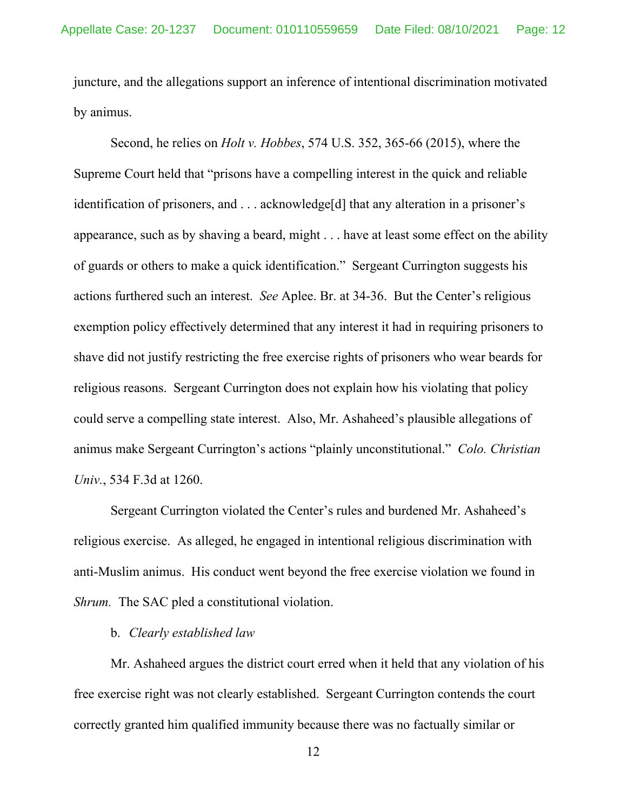juncture, and the allegations support an inference of intentional discrimination motivated by animus.

Second, he relies on *Holt v. Hobbes*, 574 U.S. 352, 365-66 (2015), where the Supreme Court held that "prisons have a compelling interest in the quick and reliable identification of prisoners, and . . . acknowledge[d] that any alteration in a prisoner's appearance, such as by shaving a beard, might . . . have at least some effect on the ability of guards or others to make a quick identification." Sergeant Currington suggests his actions furthered such an interest. *See* Aplee. Br. at 34-36. But the Center's religious exemption policy effectively determined that any interest it had in requiring prisoners to shave did not justify restricting the free exercise rights of prisoners who wear beards for religious reasons. Sergeant Currington does not explain how his violating that policy could serve a compelling state interest. Also, Mr. Ashaheed's plausible allegations of animus make Sergeant Currington's actions "plainly unconstitutional." *Colo. Christian Univ.*, 534 F.3d at 1260.

Sergeant Currington violated the Center's rules and burdened Mr. Ashaheed's religious exercise. As alleged, he engaged in intentional religious discrimination with anti-Muslim animus. His conduct went beyond the free exercise violation we found in *Shrum.* The SAC pled a constitutional violation.

#### b. *Clearly established law*

Mr. Ashaheed argues the district court erred when it held that any violation of his free exercise right was not clearly established. Sergeant Currington contends the court correctly granted him qualified immunity because there was no factually similar or

12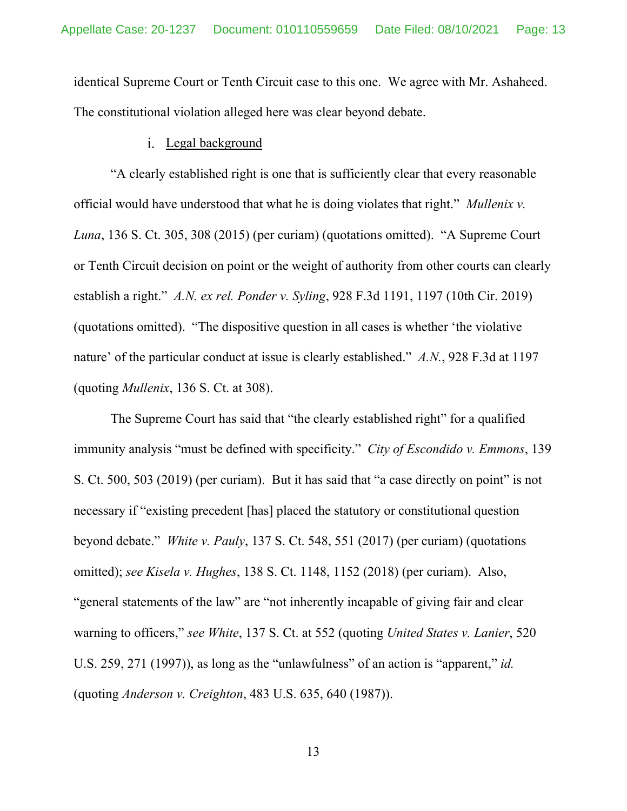identical Supreme Court or Tenth Circuit case to this one. We agree with Mr. Ashaheed. The constitutional violation alleged here was clear beyond debate.

### i. Legal background

"A clearly established right is one that is sufficiently clear that every reasonable official would have understood that what he is doing violates that right." *Mullenix v. Luna*, 136 S. Ct. 305, 308 (2015) (per curiam) (quotations omitted). "A Supreme Court or Tenth Circuit decision on point or the weight of authority from other courts can clearly establish a right." *A.N. ex rel. Ponder v. Syling*, 928 F.3d 1191, 1197 (10th Cir. 2019) (quotations omitted). "The dispositive question in all cases is whether 'the violative nature' of the particular conduct at issue is clearly established." *A.N.*, 928 F.3d at 1197 (quoting *Mullenix*, 136 S. Ct. at 308).

The Supreme Court has said that "the clearly established right" for a qualified immunity analysis "must be defined with specificity." *City of Escondido v. Emmons*, 139 S. Ct. 500, 503 (2019) (per curiam). But it has said that "a case directly on point" is not necessary if "existing precedent [has] placed the statutory or constitutional question beyond debate." *White v. Pauly*, 137 S. Ct. 548, 551 (2017) (per curiam) (quotations omitted); *see Kisela v. Hughes*, 138 S. Ct. 1148, 1152 (2018) (per curiam). Also, "general statements of the law" are "not inherently incapable of giving fair and clear warning to officers," *see White*, 137 S. Ct. at 552 (quoting *United States v. Lanier*, 520 U.S. 259, 271 (1997)), as long as the "unlawfulness" of an action is "apparent," *id.*  (quoting *Anderson v. Creighton*, 483 U.S. 635, 640 (1987)).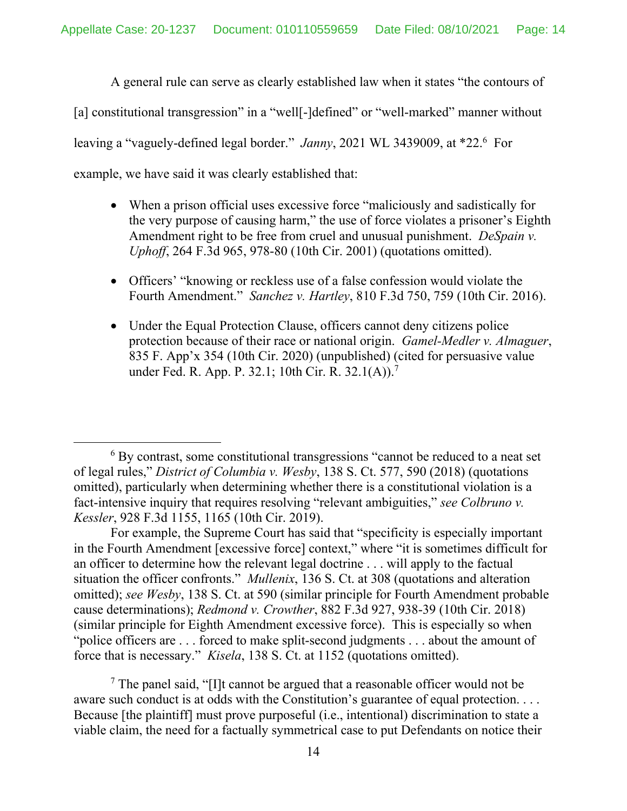A general rule can serve as clearly established law when it states "the contours of

[a] constitutional transgression" in a "well<sup>[</sup>-]defined" or "well-marked" manner without

leaving a "vaguely-defined legal border." Janny, 2021 WL 3439009, at \*22.<sup>6</sup> For

example, we have said it was clearly established that:

- When a prison official uses excessive force "maliciously and sadistically for the very purpose of causing harm," the use of force violates a prisoner's Eighth Amendment right to be free from cruel and unusual punishment. *DeSpain v. Uphoff*, 264 F.3d 965, 978-80 (10th Cir. 2001) (quotations omitted).
- Officers' "knowing or reckless use of a false confession would violate the Fourth Amendment." *Sanchez v. Hartley*, 810 F.3d 750, 759 (10th Cir. 2016).
- Under the Equal Protection Clause, officers cannot deny citizens police protection because of their race or national origin. *Gamel-Medler v. Almaguer*, 835 F. App'x 354 (10th Cir. 2020) (unpublished) (cited for persuasive value under Fed. R. App. P. 32.1; 10th Cir. R. 32.1(A)).<sup>7</sup>

For example, the Supreme Court has said that "specificity is especially important in the Fourth Amendment [excessive force] context," where "it is sometimes difficult for an officer to determine how the relevant legal doctrine . . . will apply to the factual situation the officer confronts." *Mullenix*, 136 S. Ct. at 308 (quotations and alteration omitted); *see Wesby*, 138 S. Ct. at 590 (similar principle for Fourth Amendment probable cause determinations); *Redmond v. Crowther*, 882 F.3d 927, 938-39 (10th Cir. 2018) (similar principle for Eighth Amendment excessive force). This is especially so when "police officers are . . . forced to make split-second judgments . . . about the amount of force that is necessary." *Kisela*, 138 S. Ct. at 1152 (quotations omitted).

<sup>7</sup> The panel said, "[I]t cannot be argued that a reasonable officer would not be aware such conduct is at odds with the Constitution's guarantee of equal protection. . . . Because [the plaintiff] must prove purposeful (i.e., intentional) discrimination to state a viable claim, the need for a factually symmetrical case to put Defendants on notice their

<sup>&</sup>lt;sup>6</sup> By contrast, some constitutional transgressions "cannot be reduced to a neat set of legal rules," *District of Columbia v. Wesby*, 138 S. Ct. 577, 590 (2018) (quotations omitted), particularly when determining whether there is a constitutional violation is a fact-intensive inquiry that requires resolving "relevant ambiguities," *see Colbruno v. Kessler*, 928 F.3d 1155, 1165 (10th Cir. 2019).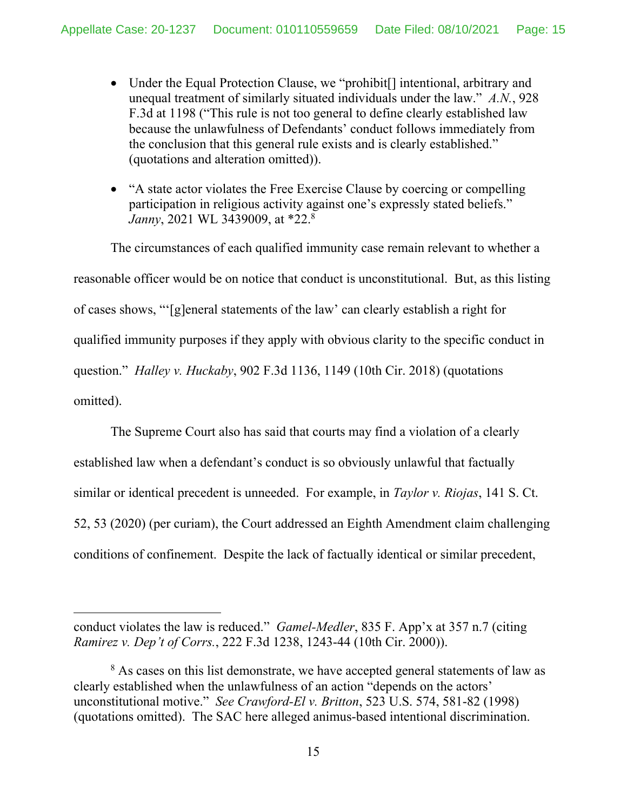- Under the Equal Protection Clause, we "prohibit<sup>[]</sup> intentional, arbitrary and unequal treatment of similarly situated individuals under the law." *A.N.*, 928 F.3d at 1198 ("This rule is not too general to define clearly established law because the unlawfulness of Defendants' conduct follows immediately from the conclusion that this general rule exists and is clearly established." (quotations and alteration omitted)).
- "A state actor violates the Free Exercise Clause by coercing or compelling participation in religious activity against one's expressly stated beliefs." *Janny*, 2021 WL 3439009, at \*22.8

The circumstances of each qualified immunity case remain relevant to whether a reasonable officer would be on notice that conduct is unconstitutional. But, as this listing of cases shows, "'[g]eneral statements of the law' can clearly establish a right for qualified immunity purposes if they apply with obvious clarity to the specific conduct in question." *Halley v. Huckaby*, 902 F.3d 1136, 1149 (10th Cir. 2018) (quotations omitted).

The Supreme Court also has said that courts may find a violation of a clearly established law when a defendant's conduct is so obviously unlawful that factually similar or identical precedent is unneeded. For example, in *Taylor v. Riojas*, 141 S. Ct. 52, 53 (2020) (per curiam), the Court addressed an Eighth Amendment claim challenging conditions of confinement. Despite the lack of factually identical or similar precedent,

conduct violates the law is reduced." *Gamel-Medler*, 835 F. App'x at 357 n.7 (citing *Ramirez v. Dep't of Corrs.*, 222 F.3d 1238, 1243-44 (10th Cir. 2000)).

<sup>&</sup>lt;sup>8</sup> As cases on this list demonstrate, we have accepted general statements of law as clearly established when the unlawfulness of an action "depends on the actors' unconstitutional motive." *See Crawford-El v. Britton*, 523 U.S. 574, 581-82 (1998) (quotations omitted). The SAC here alleged animus-based intentional discrimination.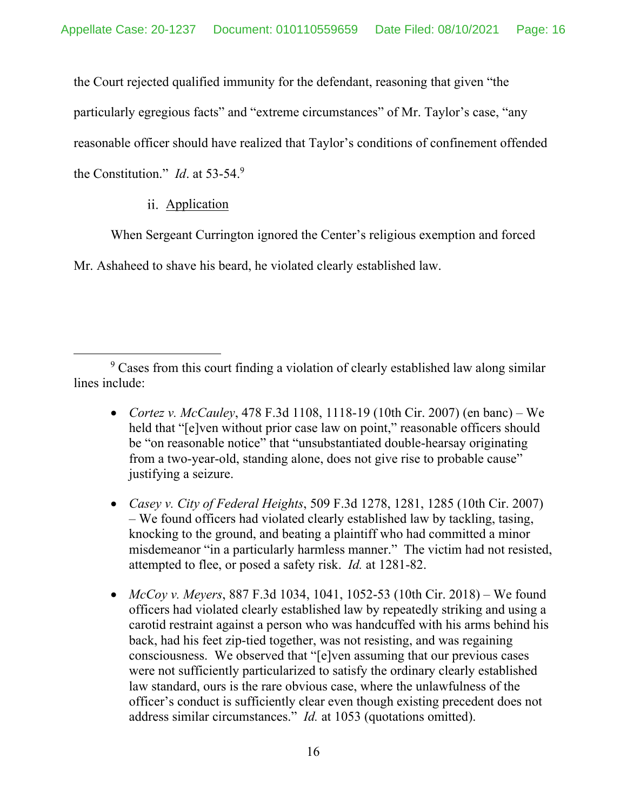the Court rejected qualified immunity for the defendant, reasoning that given "the

particularly egregious facts" and "extreme circumstances" of Mr. Taylor's case, "any

reasonable officer should have realized that Taylor's conditions of confinement offended

the Constitution." *Id*. at 53-54.9

## ii. Application

When Sergeant Currington ignored the Center's religious exemption and forced

Mr. Ashaheed to shave his beard, he violated clearly established law.

- *Cortez v. McCauley*, 478 F.3d 1108, 1118-19 (10th Cir. 2007) (en banc) We held that "[e]ven without prior case law on point," reasonable officers should be "on reasonable notice" that "unsubstantiated double-hearsay originating from a two-year-old, standing alone, does not give rise to probable cause" justifying a seizure.
- *Casey v. City of Federal Heights*, 509 F.3d 1278, 1281, 1285 (10th Cir. 2007) – We found officers had violated clearly established law by tackling, tasing, knocking to the ground, and beating a plaintiff who had committed a minor misdemeanor "in a particularly harmless manner." The victim had not resisted, attempted to flee, or posed a safety risk. *Id.* at 1281-82.
- *McCoy v. Meyers*, 887 F.3d 1034, 1041, 1052-53 (10th Cir. 2018) We found officers had violated clearly established law by repeatedly striking and using a carotid restraint against a person who was handcuffed with his arms behind his back, had his feet zip-tied together, was not resisting, and was regaining consciousness. We observed that "[e]ven assuming that our previous cases were not sufficiently particularized to satisfy the ordinary clearly established law standard, ours is the rare obvious case, where the unlawfulness of the officer's conduct is sufficiently clear even though existing precedent does not address similar circumstances." *Id.* at 1053 (quotations omitted).

<sup>&</sup>lt;sup>9</sup> Cases from this court finding a violation of clearly established law along similar lines include: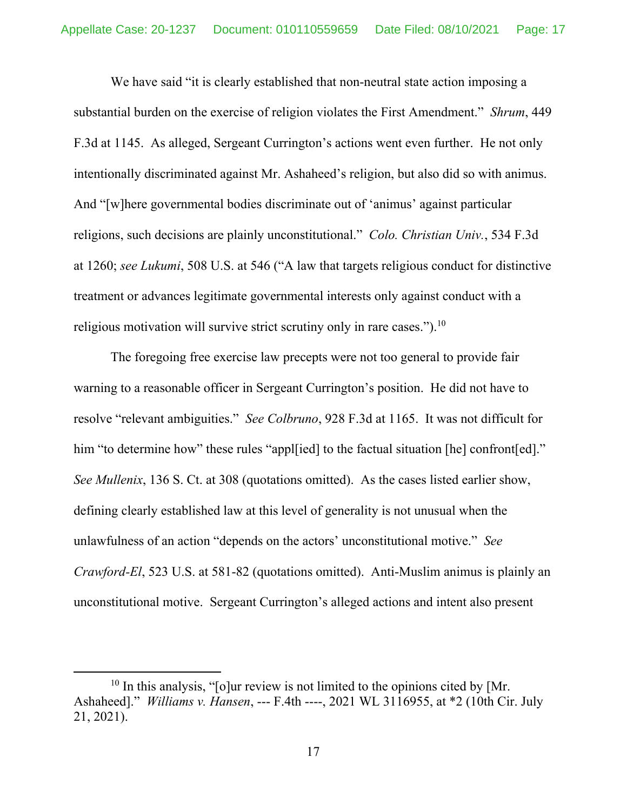We have said "it is clearly established that non-neutral state action imposing a substantial burden on the exercise of religion violates the First Amendment." *Shrum*, 449 F.3d at 1145. As alleged, Sergeant Currington's actions went even further. He not only intentionally discriminated against Mr. Ashaheed's religion, but also did so with animus. And "[w]here governmental bodies discriminate out of 'animus' against particular religions, such decisions are plainly unconstitutional." *Colo. Christian Univ.*, 534 F.3d at 1260; *see Lukumi*, 508 U.S. at 546 ("A law that targets religious conduct for distinctive treatment or advances legitimate governmental interests only against conduct with a religious motivation will survive strict scrutiny only in rare cases.").<sup>10</sup>

The foregoing free exercise law precepts were not too general to provide fair warning to a reasonable officer in Sergeant Currington's position. He did not have to resolve "relevant ambiguities." *See Colbruno*, 928 F.3d at 1165. It was not difficult for him "to determine how" these rules "appl[ied] to the factual situation [he] confront[ed]." *See Mullenix*, 136 S. Ct. at 308 (quotations omitted). As the cases listed earlier show, defining clearly established law at this level of generality is not unusual when the unlawfulness of an action "depends on the actors' unconstitutional motive." *See Crawford-El*, 523 U.S. at 581-82 (quotations omitted). Anti-Muslim animus is plainly an unconstitutional motive. Sergeant Currington's alleged actions and intent also present

 $10$  In this analysis, "[o]ur review is not limited to the opinions cited by [Mr. Ashaheed]." *Williams v. Hansen*, --- F.4th ----, 2021 WL 3116955, at \*2 (10th Cir. July 21, 2021).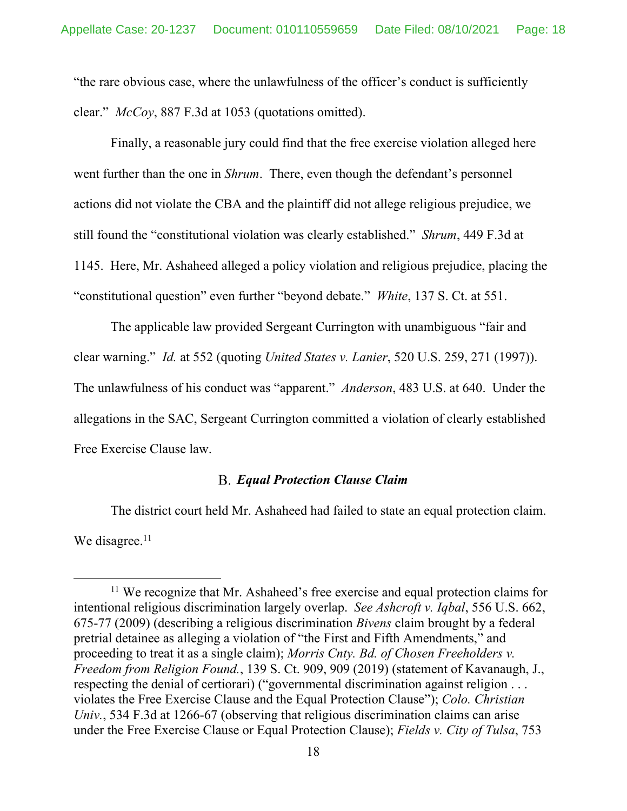"the rare obvious case, where the unlawfulness of the officer's conduct is sufficiently clear." *McCoy*, 887 F.3d at 1053 (quotations omitted).

Finally, a reasonable jury could find that the free exercise violation alleged here went further than the one in *Shrum*. There, even though the defendant's personnel actions did not violate the CBA and the plaintiff did not allege religious prejudice, we still found the "constitutional violation was clearly established." *Shrum*, 449 F.3d at 1145. Here, Mr. Ashaheed alleged a policy violation and religious prejudice, placing the "constitutional question" even further "beyond debate." *White*, 137 S. Ct. at 551.

The applicable law provided Sergeant Currington with unambiguous "fair and clear warning." *Id.* at 552 (quoting *United States v. Lanier*, 520 U.S. 259, 271 (1997)). The unlawfulness of his conduct was "apparent." *Anderson*, 483 U.S. at 640. Under the allegations in the SAC, Sergeant Currington committed a violation of clearly established Free Exercise Clause law.

## *Equal Protection Clause Claim*

The district court held Mr. Ashaheed had failed to state an equal protection claim. We disagree.<sup>11</sup>

<sup>&</sup>lt;sup>11</sup> We recognize that Mr. Ashaheed's free exercise and equal protection claims for intentional religious discrimination largely overlap. *See Ashcroft v. Iqbal*, 556 U.S. 662, 675-77 (2009) (describing a religious discrimination *Bivens* claim brought by a federal pretrial detainee as alleging a violation of "the First and Fifth Amendments," and proceeding to treat it as a single claim); *Morris Cnty. Bd. of Chosen Freeholders v. Freedom from Religion Found.*, 139 S. Ct. 909, 909 (2019) (statement of Kavanaugh, J., respecting the denial of certiorari) ("governmental discrimination against religion . . . violates the Free Exercise Clause and the Equal Protection Clause"); *Colo. Christian Univ.*, 534 F.3d at 1266-67 (observing that religious discrimination claims can arise under the Free Exercise Clause or Equal Protection Clause); *Fields v. City of Tulsa*, 753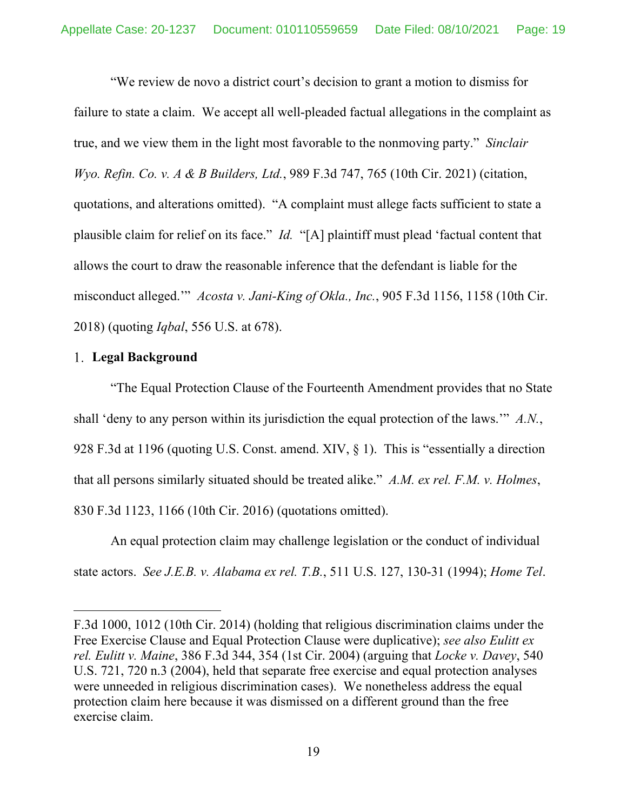"We review de novo a district court's decision to grant a motion to dismiss for failure to state a claim. We accept all well-pleaded factual allegations in the complaint as true, and we view them in the light most favorable to the nonmoving party." *Sinclair Wyo. Refin. Co. v. A & B Builders, Ltd.*, 989 F.3d 747, 765 (10th Cir. 2021) (citation, quotations, and alterations omitted). "A complaint must allege facts sufficient to state a plausible claim for relief on its face." *Id.* "[A] plaintiff must plead 'factual content that allows the court to draw the reasonable inference that the defendant is liable for the misconduct alleged.'" *Acosta v. Jani-King of Okla., Inc.*, 905 F.3d 1156, 1158 (10th Cir. 2018) (quoting *Iqbal*, 556 U.S. at 678).

## **Legal Background**

"The Equal Protection Clause of the Fourteenth Amendment provides that no State shall 'deny to any person within its jurisdiction the equal protection of the laws.'" *A.N.*, 928 F.3d at 1196 (quoting U.S. Const. amend. XIV, § 1). This is "essentially a direction that all persons similarly situated should be treated alike." *A.M. ex rel. F.M. v. Holmes*, 830 F.3d 1123, 1166 (10th Cir. 2016) (quotations omitted).

An equal protection claim may challenge legislation or the conduct of individual state actors. *See J.E.B. v. Alabama ex rel. T.B.*, 511 U.S. 127, 130-31 (1994); *Home Tel*.

F.3d 1000, 1012 (10th Cir. 2014) (holding that religious discrimination claims under the Free Exercise Clause and Equal Protection Clause were duplicative); *see also Eulitt ex rel. Eulitt v. Maine*, 386 F.3d 344, 354 (1st Cir. 2004) (arguing that *Locke v. Davey*, 540 U.S. 721, 720 n.3 (2004), held that separate free exercise and equal protection analyses were unneeded in religious discrimination cases). We nonetheless address the equal protection claim here because it was dismissed on a different ground than the free exercise claim.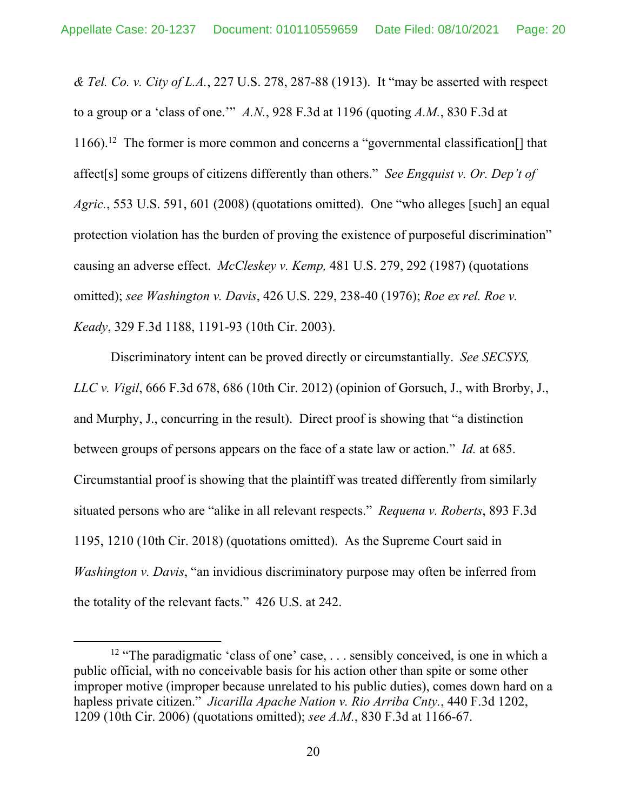*& Tel. Co. v. City of L.A.*, 227 U.S. 278, 287-88 (1913). It "may be asserted with respect to a group or a 'class of one.'" *A.N.*, 928 F.3d at 1196 (quoting *A.M.*, 830 F.3d at 1166).12 The former is more common and concerns a "governmental classification[] that affect[s] some groups of citizens differently than others." *See Engquist v. Or. Dep't of Agric.*, 553 U.S. 591, 601 (2008) (quotations omitted). One "who alleges [such] an equal protection violation has the burden of proving the existence of purposeful discrimination" causing an adverse effect. *McCleskey v. Kemp,* 481 U.S. 279, 292 (1987) (quotations omitted); *see Washington v. Davis*, 426 U.S. 229, 238-40 (1976); *Roe ex rel. Roe v. Keady*, 329 F.3d 1188, 1191-93 (10th Cir. 2003).

Discriminatory intent can be proved directly or circumstantially. *See SECSYS, LLC v. Vigil*, 666 F.3d 678, 686 (10th Cir. 2012) (opinion of Gorsuch, J., with Brorby, J., and Murphy, J., concurring in the result). Direct proof is showing that "a distinction between groups of persons appears on the face of a state law or action." *Id.* at 685. Circumstantial proof is showing that the plaintiff was treated differently from similarly situated persons who are "alike in all relevant respects." *Requena v. Roberts*, 893 F.3d 1195, 1210 (10th Cir. 2018) (quotations omitted). As the Supreme Court said in *Washington v. Davis*, "an invidious discriminatory purpose may often be inferred from the totality of the relevant facts." 426 U.S. at 242.

<sup>&</sup>lt;sup>12</sup> "The paradigmatic 'class of one' case, . . . sensibly conceived, is one in which a public official, with no conceivable basis for his action other than spite or some other improper motive (improper because unrelated to his public duties), comes down hard on a hapless private citizen." *Jicarilla Apache Nation v. Rio Arriba Cnty.*, 440 F.3d 1202, 1209 (10th Cir. 2006) (quotations omitted); *see A.M.*, 830 F.3d at 1166-67.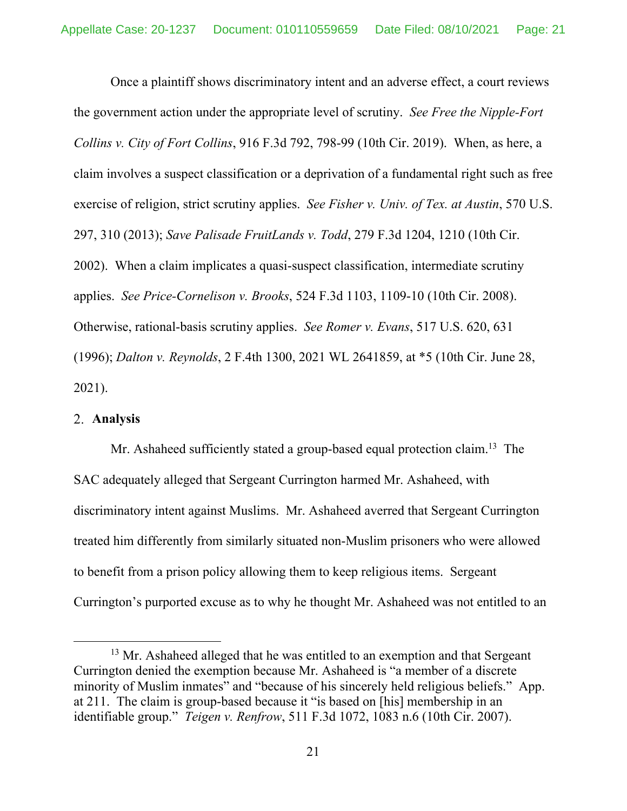Once a plaintiff shows discriminatory intent and an adverse effect, a court reviews the government action under the appropriate level of scrutiny. *See Free the Nipple-Fort Collins v. City of Fort Collins*, 916 F.3d 792, 798-99 (10th Cir. 2019). When, as here, a claim involves a suspect classification or a deprivation of a fundamental right such as free exercise of religion, strict scrutiny applies. *See Fisher v. Univ. of Tex. at Austin*, 570 U.S. 297, 310 (2013); *Save Palisade FruitLands v. Todd*, 279 F.3d 1204, 1210 (10th Cir. 2002). When a claim implicates a quasi-suspect classification, intermediate scrutiny applies. *See Price-Cornelison v. Brooks*, 524 F.3d 1103, 1109-10 (10th Cir. 2008). Otherwise, rational-basis scrutiny applies. *See Romer v. Evans*, 517 U.S. 620, 631 (1996); *Dalton v. Reynolds*, 2 F.4th 1300, 2021 WL 2641859, at \*5 (10th Cir. June 28, 2021).

#### **Analysis**

Mr. Ashaheed sufficiently stated a group-based equal protection claim.<sup>13</sup> The SAC adequately alleged that Sergeant Currington harmed Mr. Ashaheed, with discriminatory intent against Muslims. Mr. Ashaheed averred that Sergeant Currington treated him differently from similarly situated non-Muslim prisoners who were allowed to benefit from a prison policy allowing them to keep religious items. Sergeant Currington's purported excuse as to why he thought Mr. Ashaheed was not entitled to an

<sup>&</sup>lt;sup>13</sup> Mr. Ashaheed alleged that he was entitled to an exemption and that Sergeant Currington denied the exemption because Mr. Ashaheed is "a member of a discrete minority of Muslim inmates" and "because of his sincerely held religious beliefs." App. at 211. The claim is group-based because it "is based on [his] membership in an identifiable group." *Teigen v. Renfrow*, 511 F.3d 1072, 1083 n.6 (10th Cir. 2007).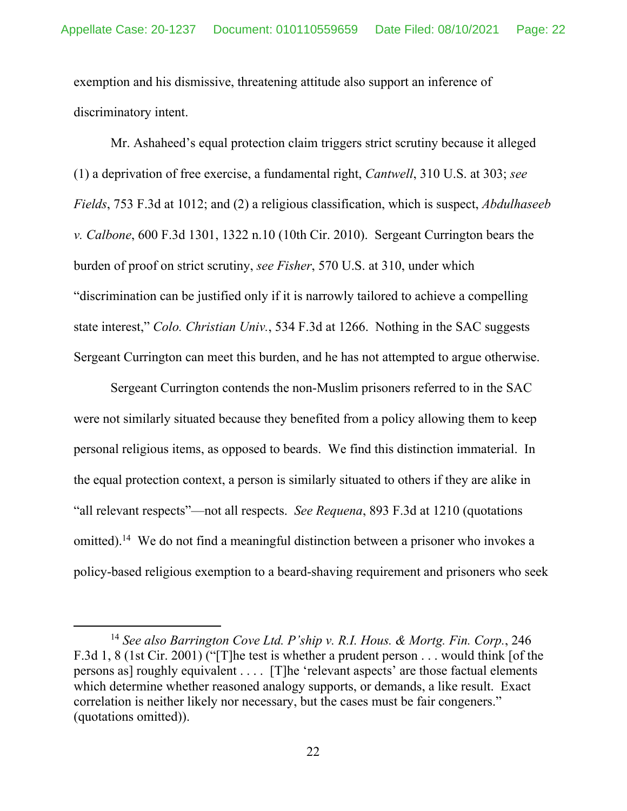exemption and his dismissive, threatening attitude also support an inference of discriminatory intent.

Mr. Ashaheed's equal protection claim triggers strict scrutiny because it alleged (1) a deprivation of free exercise, a fundamental right, *Cantwell*, 310 U.S. at 303; *see Fields*, 753 F.3d at 1012; and (2) a religious classification, which is suspect, *Abdulhaseeb v. Calbone*, 600 F.3d 1301, 1322 n.10 (10th Cir. 2010). Sergeant Currington bears the burden of proof on strict scrutiny, *see Fisher*, 570 U.S. at 310, under which "discrimination can be justified only if it is narrowly tailored to achieve a compelling state interest," *Colo. Christian Univ.*, 534 F.3d at 1266. Nothing in the SAC suggests Sergeant Currington can meet this burden, and he has not attempted to argue otherwise.

Sergeant Currington contends the non-Muslim prisoners referred to in the SAC were not similarly situated because they benefited from a policy allowing them to keep personal religious items, as opposed to beards. We find this distinction immaterial. In the equal protection context, a person is similarly situated to others if they are alike in "all relevant respects"—not all respects. *See Requena*, 893 F.3d at 1210 (quotations omitted).<sup>14</sup> We do not find a meaningful distinction between a prisoner who invokes a policy-based religious exemption to a beard-shaving requirement and prisoners who seek

<sup>14</sup> *See also Barrington Cove Ltd. P'ship v. R.I. Hous. & Mortg. Fin. Corp.*, 246 F.3d 1, 8 (1st Cir. 2001) ("[T]he test is whether a prudent person . . . would think [of the persons as] roughly equivalent . . . . [T]he 'relevant aspects' are those factual elements which determine whether reasoned analogy supports, or demands, a like result. Exact correlation is neither likely nor necessary, but the cases must be fair congeners." (quotations omitted)).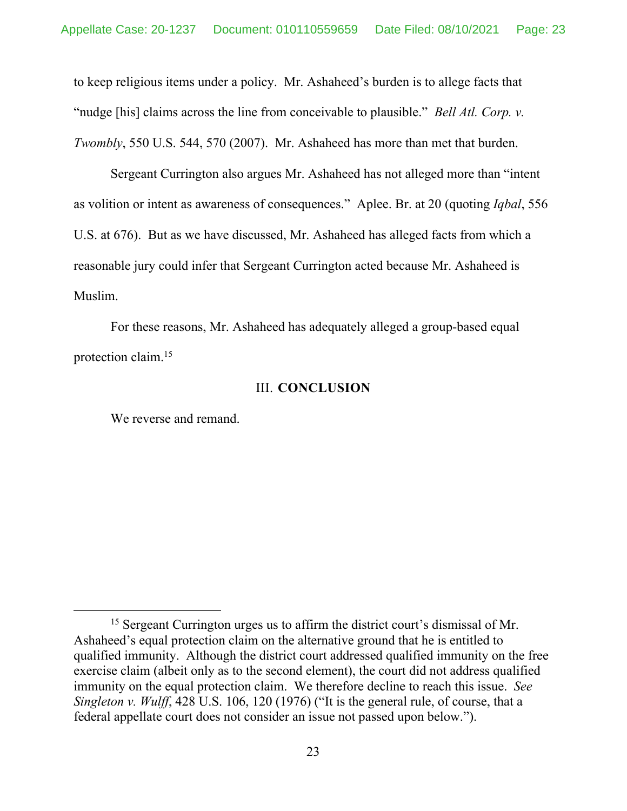to keep religious items under a policy. Mr. Ashaheed's burden is to allege facts that "nudge [his] claims across the line from conceivable to plausible." *Bell Atl. Corp. v. Twombly*, 550 U.S. 544, 570 (2007). Mr. Ashaheed has more than met that burden.

Sergeant Currington also argues Mr. Ashaheed has not alleged more than "intent as volition or intent as awareness of consequences." Aplee. Br. at 20 (quoting *Iqbal*, 556 U.S. at 676). But as we have discussed, Mr. Ashaheed has alleged facts from which a reasonable jury could infer that Sergeant Currington acted because Mr. Ashaheed is Muslim.

For these reasons, Mr. Ashaheed has adequately alleged a group-based equal protection claim.15

### III. **CONCLUSION**

We reverse and remand.

<sup>&</sup>lt;sup>15</sup> Sergeant Currington urges us to affirm the district court's dismissal of Mr. Ashaheed's equal protection claim on the alternative ground that he is entitled to qualified immunity. Although the district court addressed qualified immunity on the free exercise claim (albeit only as to the second element), the court did not address qualified immunity on the equal protection claim. We therefore decline to reach this issue. *See Singleton v. Wulff*, 428 U.S. 106, 120 (1976) ("It is the general rule, of course, that a federal appellate court does not consider an issue not passed upon below.").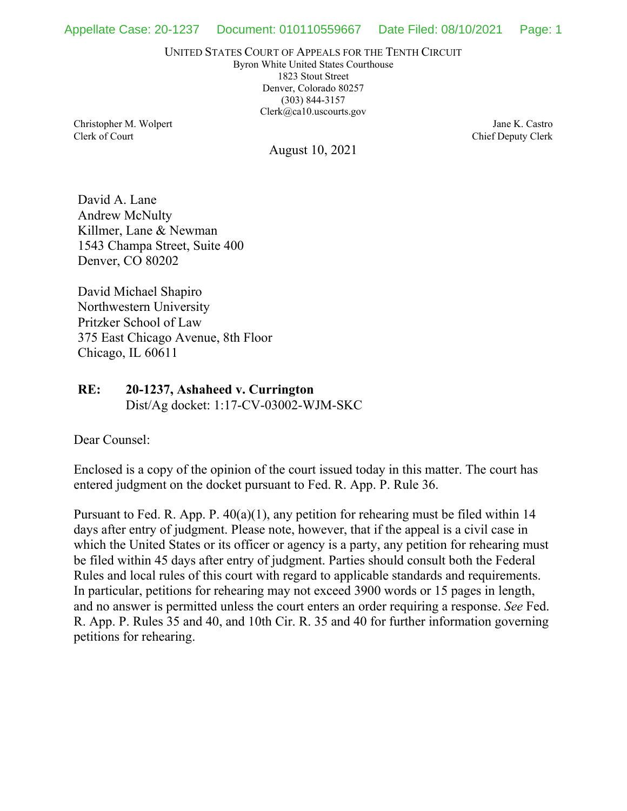UNITED STATES COURT OF APPEALS FOR THE TENTH CIRCUIT

Byron White United States Courthouse 1823 Stout Street Denver, Colorado 80257 (303) 844-3157 Clerk@ca10.uscourts.gov

Christopher M. Wolpert Clerk of Court

August 10, 2021

Jane K. Castro Chief Deputy Clerk

David A. Lane Andrew McNulty Killmer, Lane & Newman 1543 Champa Street, Suite 400 Denver, CO 80202

David Michael Shapiro Northwestern University Pritzker School of Law 375 East Chicago Avenue, 8th Floor Chicago, IL 60611

## **RE: 20-1237, Ashaheed v. Currington** Dist/Ag docket: 1:17-CV-03002-WJM-SKC

Dear Counsel:

Enclosed is a copy of the opinion of the court issued today in this matter. The court has entered judgment on the docket pursuant to Fed. R. App. P. Rule 36.

Pursuant to Fed. R. App. P. 40(a)(1), any petition for rehearing must be filed within 14 days after entry of judgment. Please note, however, that if the appeal is a civil case in which the United States or its officer or agency is a party, any petition for rehearing must be filed within 45 days after entry of judgment. Parties should consult both the Federal Rules and local rules of this court with regard to applicable standards and requirements. In particular, petitions for rehearing may not exceed 3900 words or 15 pages in length, and no answer is permitted unless the court enters an order requiring a response. *See* Fed. R. App. P. Rules 35 and 40, and 10th Cir. R. 35 and 40 for further information governing petitions for rehearing.